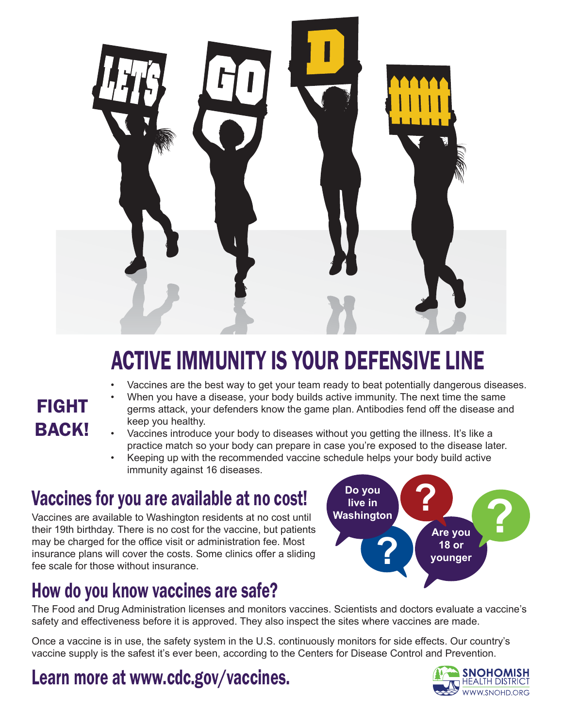

# ACTIVE IMMUNITY IS YOUR DEFENSIVE LINE

#### • Vaccines are the best way to get your team ready to beat potentially dangerous diseases.

### FIGHT **BACK!**

- When you have a disease, your body builds active immunity. The next time the same germs attack, your defenders know the game plan. Antibodies fend off the disease and keep you healthy.
- Vaccines introduce your body to diseases without you getting the illness. It's like a practice match so your body can prepare in case you're exposed to the disease later.
- Keeping up with the recommended vaccine schedule helps your body build active immunity against 16 diseases.

## Vaccines for you are available at no cost!

Vaccines are available to Washington residents at no cost until their 19th birthday. There is no cost for the vaccine, but patients may be charged for the office visit or administration fee. Most insurance plans will cover the costs. Some clinics offer a sliding fee scale for those without insurance.

### How do you know vaccines are safe?

**Are you 18 or younger Do you live in**  Do you<br>live in<br>Washington<br>**Property Are you ?**

The Food and Drug Administration licenses and monitors vaccines. Scientists and doctors evaluate a vaccine's safety and effectiveness before it is approved. They also inspect the sites where vaccines are made.

Once a vaccine is in use, the safety system in the U.S. continuously monitors for side effects. Our country's vaccine supply is the safest it's ever been, according to the Centers for Disease Control and Prevention.

### Learn more at www.cdc.gov/vaccines.